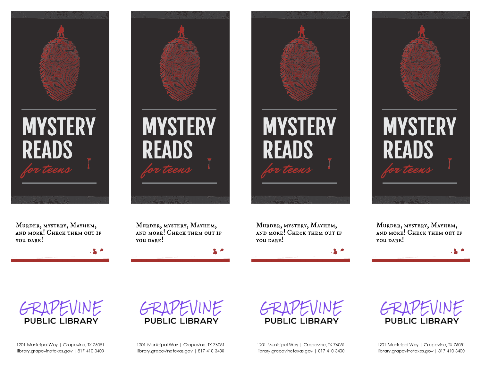







Murder, mystery, Mayhem, and more! Check them out if YOU DARE!

Murder, mystery, Mayhem, and more! Check them out if YOU DARE!

Murder, mystery, Mayhem, and more! Check them out if YOU DARE!

Murder, mystery, Mayhem, and more! Check them out if YOU DARE!



1201 Municipal Way | Grapevine, TX 76051 library.arapevinetexas.aov | 817-410-3400





GRAPEVINE **PUBLIC LIBRARY** 

1201 Municipal Way | Grapevine, TX 76051 library.arapevinetexas.aov | 817-410-3400



1201 Municipal Way | Grapevine, TX 76051 library.arapevinetexas.aov | 817-410-3400